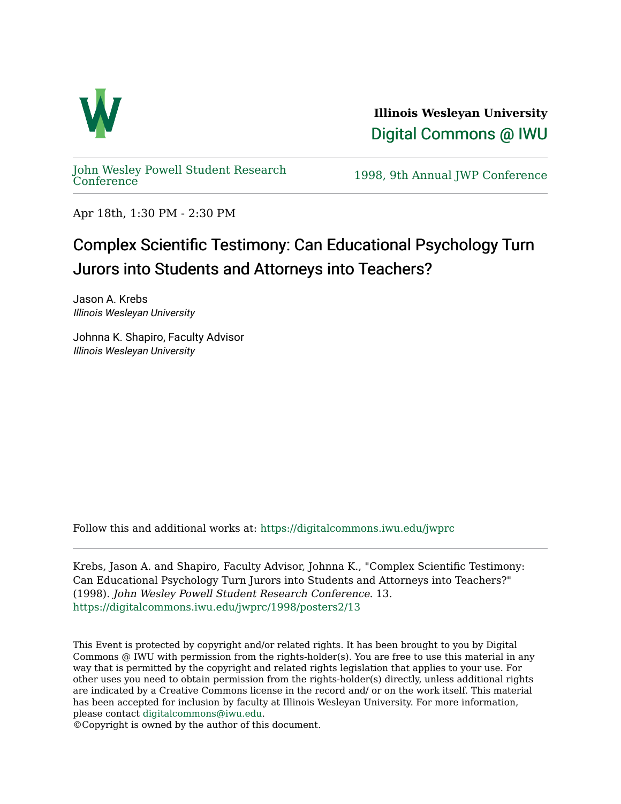

**Illinois Wesleyan University**  [Digital Commons @ IWU](https://digitalcommons.iwu.edu/) 

[John Wesley Powell Student Research](https://digitalcommons.iwu.edu/jwprc) 

1998, 9th Annual JWP [Conference](https://digitalcommons.iwu.edu/jwprc)

Apr 18th, 1:30 PM - 2:30 PM

## Complex Scientific Testimony: Can Educational Psychology Turn Jurors into Students and Attorneys into Teachers?

Jason A. Krebs Illinois Wesleyan University

Johnna K. Shapiro, Faculty Advisor Illinois Wesleyan University

Follow this and additional works at: [https://digitalcommons.iwu.edu/jwprc](https://digitalcommons.iwu.edu/jwprc?utm_source=digitalcommons.iwu.edu%2Fjwprc%2F1998%2Fposters2%2F13&utm_medium=PDF&utm_campaign=PDFCoverPages) 

Krebs, Jason A. and Shapiro, Faculty Advisor, Johnna K., "Complex Scientific Testimony: Can Educational Psychology Turn Jurors into Students and Attorneys into Teachers?" (1998). John Wesley Powell Student Research Conference. 13. [https://digitalcommons.iwu.edu/jwprc/1998/posters2/13](https://digitalcommons.iwu.edu/jwprc/1998/posters2/13?utm_source=digitalcommons.iwu.edu%2Fjwprc%2F1998%2Fposters2%2F13&utm_medium=PDF&utm_campaign=PDFCoverPages) 

This Event is protected by copyright and/or related rights. It has been brought to you by Digital Commons @ IWU with permission from the rights-holder(s). You are free to use this material in any way that is permitted by the copyright and related rights legislation that applies to your use. For other uses you need to obtain permission from the rights-holder(s) directly, unless additional rights are indicated by a Creative Commons license in the record and/ or on the work itself. This material has been accepted for inclusion by faculty at Illinois Wesleyan University. For more information, please contact [digitalcommons@iwu.edu.](mailto:digitalcommons@iwu.edu)

©Copyright is owned by the author of this document.